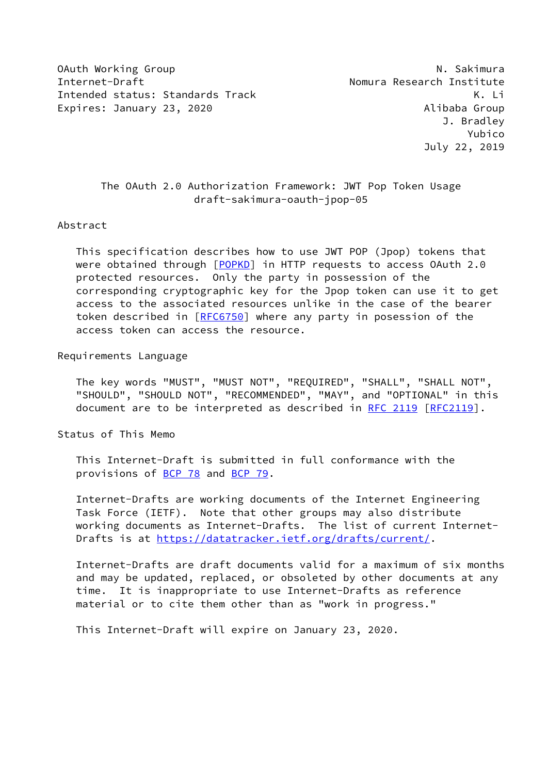OAuth Working Group National Communication of the United States of the National Communication of the National Communication of the National Communication of the National Communication of the National Communication of the U Internet-Draft Nomura Research Institute Intended status: Standards Track K. Li Expires: January 23, 2020 **Alibaba Group** 

# The OAuth 2.0 Authorization Framework: JWT Pop Token Usage draft-sakimura-oauth-jpop-05

## Abstract

 This specification describes how to use JWT POP (Jpop) tokens that were obtained through [[POPKD\]](#page-2-0) in HTTP requests to access OAuth 2.0 protected resources. Only the party in possession of the corresponding cryptographic key for the Jpop token can use it to get access to the associated resources unlike in the case of the bearer token described in [[RFC6750\]](https://datatracker.ietf.org/doc/pdf/rfc6750) where any party in posession of the access token can access the resource.

## Requirements Language

 The key words "MUST", "MUST NOT", "REQUIRED", "SHALL", "SHALL NOT", "SHOULD", "SHOULD NOT", "RECOMMENDED", "MAY", and "OPTIONAL" in this document are to be interpreted as described in [RFC 2119 \[RFC2119](https://datatracker.ietf.org/doc/pdf/rfc2119)].

Status of This Memo

 This Internet-Draft is submitted in full conformance with the provisions of [BCP 78](https://datatracker.ietf.org/doc/pdf/bcp78) and [BCP 79](https://datatracker.ietf.org/doc/pdf/bcp79).

 Internet-Drafts are working documents of the Internet Engineering Task Force (IETF). Note that other groups may also distribute working documents as Internet-Drafts. The list of current Internet- Drafts is at<https://datatracker.ietf.org/drafts/current/>.

 Internet-Drafts are draft documents valid for a maximum of six months and may be updated, replaced, or obsoleted by other documents at any time. It is inappropriate to use Internet-Drafts as reference material or to cite them other than as "work in progress."

This Internet-Draft will expire on January 23, 2020.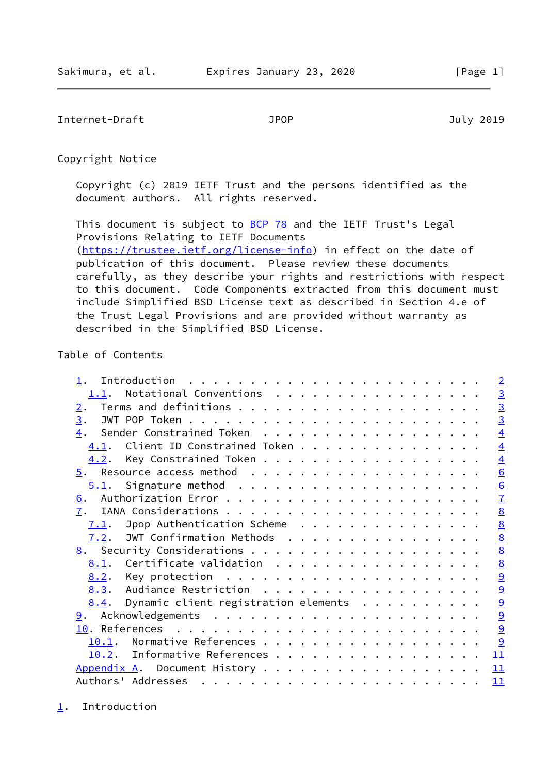<span id="page-1-1"></span>Internet-Draft JPOP July 2019

Copyright Notice

 Copyright (c) 2019 IETF Trust and the persons identified as the document authors. All rights reserved.

This document is subject to **[BCP 78](https://datatracker.ietf.org/doc/pdf/bcp78)** and the IETF Trust's Legal Provisions Relating to IETF Documents [\(https://trustee.ietf.org/license-info](https://trustee.ietf.org/license-info)) in effect on the date of publication of this document. Please review these documents carefully, as they describe your rights and restrictions with respect to this document. Code Components extracted from this document must include Simplified BSD License text as described in Section 4.e of the Trust Legal Provisions and are provided without warranty as described in the Simplified BSD License.

# Table of Contents

|       |                                      |  | $\overline{2}$  |
|-------|--------------------------------------|--|-----------------|
| 1.1.  | Notational Conventions               |  | $\overline{3}$  |
| 2.    |                                      |  | $\overline{3}$  |
| 3.    |                                      |  | $\overline{3}$  |
| 4.    | Sender Constrained Token             |  | $\overline{4}$  |
| 4.1.  | Client ID Constrained Token          |  | $\overline{4}$  |
| 4.2.  | Key Constrained Token                |  | $\overline{4}$  |
|       |                                      |  | $\underline{6}$ |
|       |                                      |  | 6               |
| 6.    |                                      |  | $\mathbf{I}$    |
| 7.    |                                      |  | $\underline{8}$ |
| 7.1.  | Jpop Authentication Scheme           |  | 8               |
| 7.2.  | JWT Confirmation Methods             |  | $\underline{8}$ |
| 8.    |                                      |  | $\underline{8}$ |
| 8.1.  | Certificate validation               |  | $\underline{8}$ |
|       |                                      |  | 9               |
|       | 8.3. Audiance Restriction            |  | $\overline{9}$  |
| 8.4.  | Dynamic client registration elements |  | $\overline{9}$  |
|       |                                      |  | $\overline{9}$  |
|       |                                      |  | 9               |
| 10.1. | Normative References                 |  | 9               |
| 10.2. | Informative References               |  | 11              |
|       | Appendix A. Document History         |  | 11              |
|       |                                      |  | 11              |

<span id="page-1-0"></span>[1](#page-1-0). Introduction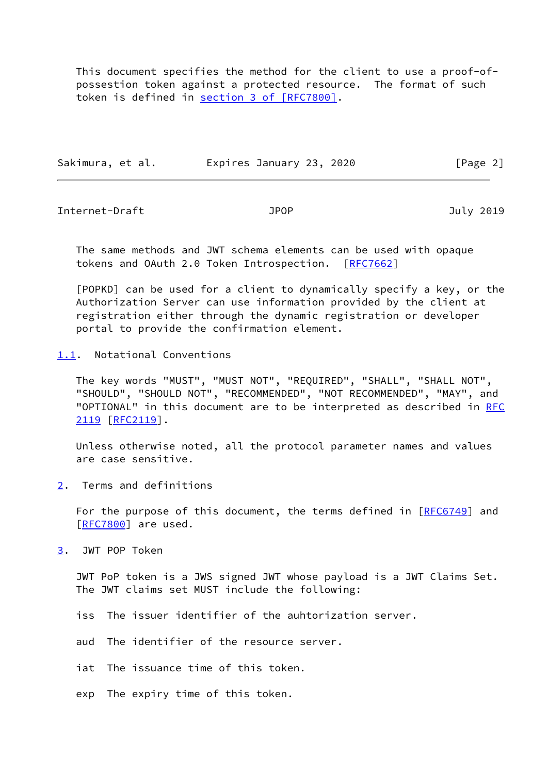This document specifies the method for the client to use a proof-of possestion token against a protected resource. The format of such token is defined in section [3 of \[RFC7800\]](https://datatracker.ietf.org/doc/pdf/rfc7800#section-3).

| Sakimura, et al. | Expires January 23, 2020 | [Page 2] |
|------------------|--------------------------|----------|
|                  |                          |          |

<span id="page-2-2"></span>Internet-Draft JPOP July 2019

 The same methods and JWT schema elements can be used with opaque tokens and OAuth 2.0 Token Introspection. [[RFC7662\]](https://datatracker.ietf.org/doc/pdf/rfc7662)

<span id="page-2-0"></span> [POPKD] can be used for a client to dynamically specify a key, or the Authorization Server can use information provided by the client at registration either through the dynamic registration or developer portal to provide the confirmation element.

<span id="page-2-1"></span>[1.1](#page-2-1). Notational Conventions

 The key words "MUST", "MUST NOT", "REQUIRED", "SHALL", "SHALL NOT", "SHOULD", "SHOULD NOT", "RECOMMENDED", "NOT RECOMMENDED", "MAY", and "OPTIONAL" in this document are to be interpreted as described in [RFC](https://datatracker.ietf.org/doc/pdf/rfc2119) [2119](https://datatracker.ietf.org/doc/pdf/rfc2119) [\[RFC2119](https://datatracker.ietf.org/doc/pdf/rfc2119)].

 Unless otherwise noted, all the protocol parameter names and values are case sensitive.

<span id="page-2-3"></span>[2](#page-2-3). Terms and definitions

For the purpose of this document, the terms defined in [\[RFC6749](https://datatracker.ietf.org/doc/pdf/rfc6749)] and [\[RFC7800](https://datatracker.ietf.org/doc/pdf/rfc7800)] are used.

<span id="page-2-4"></span>[3](#page-2-4). JWT POP Token

 JWT PoP token is a JWS signed JWT whose payload is a JWT Claims Set. The JWT claims set MUST include the following:

iss The issuer identifier of the auhtorization server.

aud The identifier of the resource server.

iat The issuance time of this token.

exp The expiry time of this token.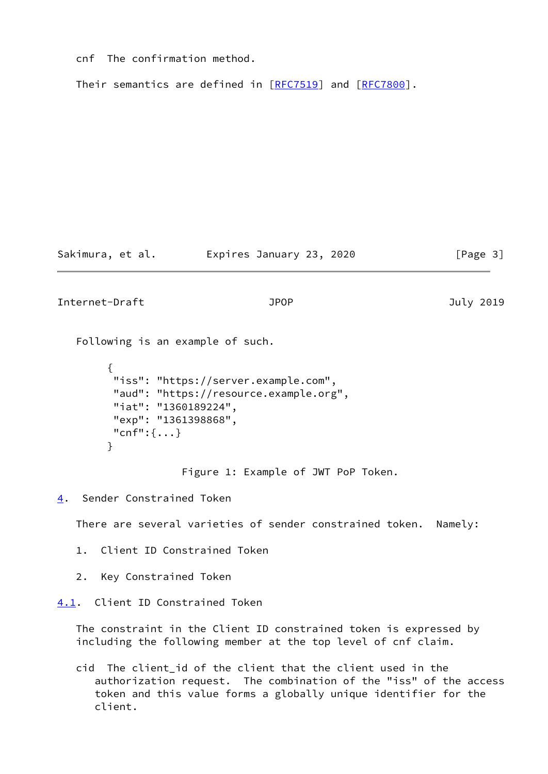cnf The confirmation method.

Their semantics are defined in [\[RFC7519](https://datatracker.ietf.org/doc/pdf/rfc7519)] and [\[RFC7800](https://datatracker.ietf.org/doc/pdf/rfc7800)].

Sakimura, et al. Expires January 23, 2020 [Page 3]

<span id="page-3-1"></span>Internet-Draft JPOP July 2019

Following is an example of such.

```
\overline{\mathcal{L}} "iss": "https://server.example.com",
          "aud": "https://resource.example.org",
          "iat": "1360189224",
          "exp": "1361398868",
          "cnf":{...}
 }
```
Figure 1: Example of JWT PoP Token.

<span id="page-3-0"></span>[4](#page-3-0). Sender Constrained Token

There are several varieties of sender constrained token. Namely:

- 1. Client ID Constrained Token
- 2. Key Constrained Token

<span id="page-3-2"></span>[4.1](#page-3-2). Client ID Constrained Token

 The constraint in the Client ID constrained token is expressed by including the following member at the top level of cnf claim.

 cid The client\_id of the client that the client used in the authorization request. The combination of the "iss" of the access token and this value forms a globally unique identifier for the client.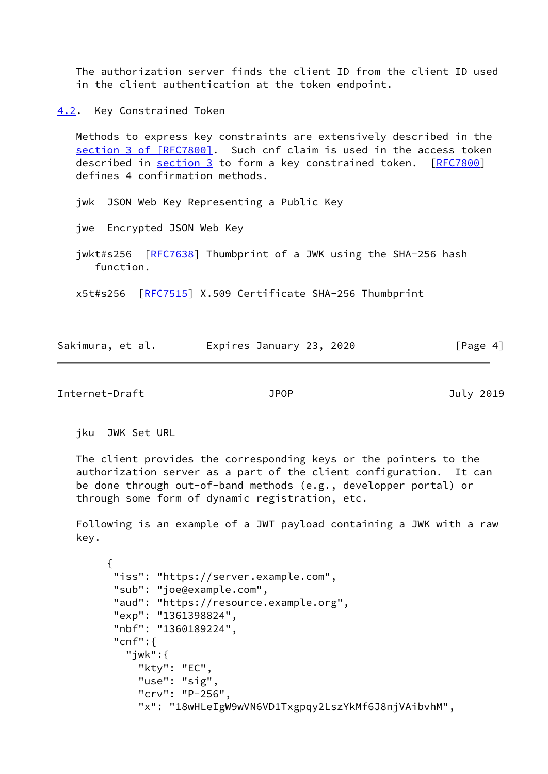The authorization server finds the client ID from the client ID used in the client authentication at the token endpoint.

<span id="page-4-0"></span>[4.2](#page-4-0). Key Constrained Token

 Methods to express key constraints are extensively described in the section [3 of \[RFC7800\]](https://datatracker.ietf.org/doc/pdf/rfc7800#section-3). Such cnf claim is used in the access token described in [section 3](#page-2-4) to form a key constrained token. [\[RFC7800](https://datatracker.ietf.org/doc/pdf/rfc7800)] defines 4 confirmation methods.

jwk JSON Web Key Representing a Public Key

jwe Encrypted JSON Web Key

 jwkt#s256 [[RFC7638\]](https://datatracker.ietf.org/doc/pdf/rfc7638) Thumbprint of a JWK using the SHA-256 hash function.

x5t#s256 [[RFC7515](https://datatracker.ietf.org/doc/pdf/rfc7515)] X.509 Certificate SHA-256 Thumbprint

| Sakimura, et al. |  | Expires January 23, 2020 |  | [Page 4] |  |
|------------------|--|--------------------------|--|----------|--|
|                  |  |                          |  |          |  |

Internet-Draft JPOP July 2019

jku JWK Set URL

 The client provides the corresponding keys or the pointers to the authorization server as a part of the client configuration. It can be done through out-of-band methods (e.g., developper portal) or through some form of dynamic registration, etc.

 Following is an example of a JWT payload containing a JWK with a raw key.

```
 {
 "iss": "https://server.example.com",
 "sub": "joe@example.com",
  "aud": "https://resource.example.org",
 "exp": "1361398824",
 "nbf": "1360189224",
 "cnf":{
    "jwk":{
      "kty": "EC",
      "use": "sig",
      "crv": "P-256",
      "x": "18wHLeIgW9wVN6VD1Txgpqy2LszYkMf6J8njVAibvhM",
```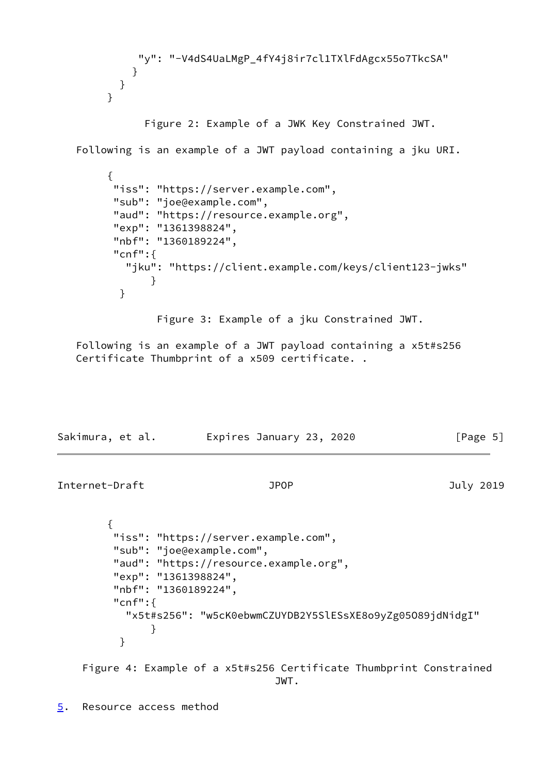```
 "y": "-V4dS4UaLMgP_4fY4j8ir7cl1TXlFdAgcx55o7TkcSA"
 }
          }
        }
              Figure 2: Example of a JWK Key Constrained JWT.
   Following is an example of a JWT payload containing a jku URI.
        {
         "iss": "https://server.example.com",
         "sub": "joe@example.com",
         "aud": "https://resource.example.org",
         "exp": "1361398824",
         "nbf": "1360189224",
         "cnf":{
           "jku": "https://client.example.com/keys/client123-jwks"
 }
 }
               Figure 3: Example of a jku Constrained JWT.
   Following is an example of a JWT payload containing a x5t#s256
   Certificate Thumbprint of a x509 certificate. .
Sakimura, et al. Expires January 23, 2020 [Page 5]
Internet-Draft JPOP July 2019
        {
         "iss": "https://server.example.com",
         "sub": "joe@example.com",
         "aud": "https://resource.example.org",
         "exp": "1361398824",
         "nbf": "1360189224",
         "cnf":{
           "x5t#s256": "w5cK0ebwmCZUYDB2Y5SlESsXE8o9yZg05O89jdNidgI"
 }
 }
    Figure 4: Example of a x5t#s256 Certificate Thumbprint Constrained
```

```
 JWT.
```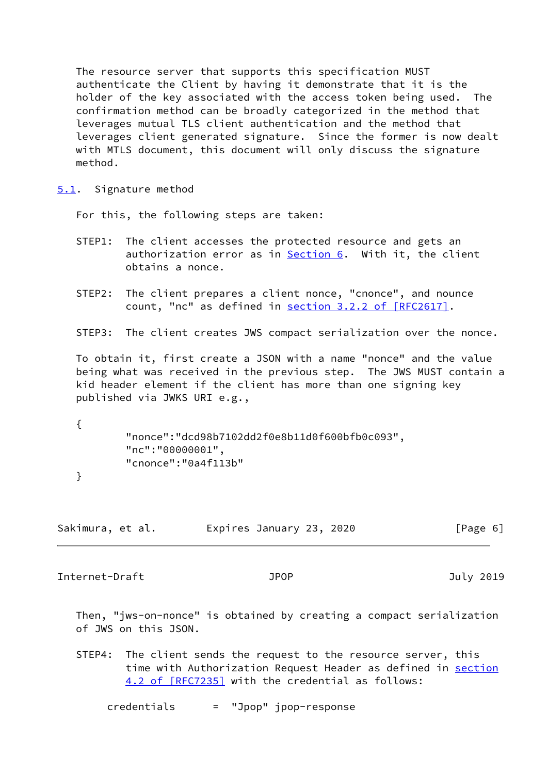The resource server that supports this specification MUST authenticate the Client by having it demonstrate that it is the holder of the key associated with the access token being used. The confirmation method can be broadly categorized in the method that leverages mutual TLS client authentication and the method that leverages client generated signature. Since the former is now dealt with MTLS document, this document will only discuss the signature method.

<span id="page-6-0"></span>[5.1](#page-6-0). Signature method

For this, the following steps are taken:

- STEP1: The client accesses the protected resource and gets an authorization error as in [Section 6.](#page-7-0) With it, the client obtains a nonce.
- STEP2: The client prepares a client nonce, "cnonce", and nounce count, "nc" as defined in section [3.2.2 of \[RFC2617\].](https://datatracker.ietf.org/doc/pdf/rfc2617#section-3.2.2)
- STEP3: The client creates JWS compact serialization over the nonce.

 To obtain it, first create a JSON with a name "nonce" and the value being what was received in the previous step. The JWS MUST contain a kid header element if the client has more than one signing key published via JWKS URI e.g.,

 { "nonce":"dcd98b7102dd2f0e8b11d0f600bfb0c093", "nc":"00000001", "cnonce":"0a4f113b"

}

Sakimura, et al. Expires January 23, 2020 [Page 6]

<span id="page-6-1"></span>Internet-Draft JPOP July 2019

 Then, "jws-on-nonce" is obtained by creating a compact serialization of JWS on this JSON.

 STEP4: The client sends the request to the resource server, this time with Authorization Request Header as defined in [section](https://datatracker.ietf.org/doc/pdf/rfc7235#section-4.2) [4.2 of \[RFC7235\]](https://datatracker.ietf.org/doc/pdf/rfc7235#section-4.2) with the credential as follows:

credentials = "Jpop" jpop-response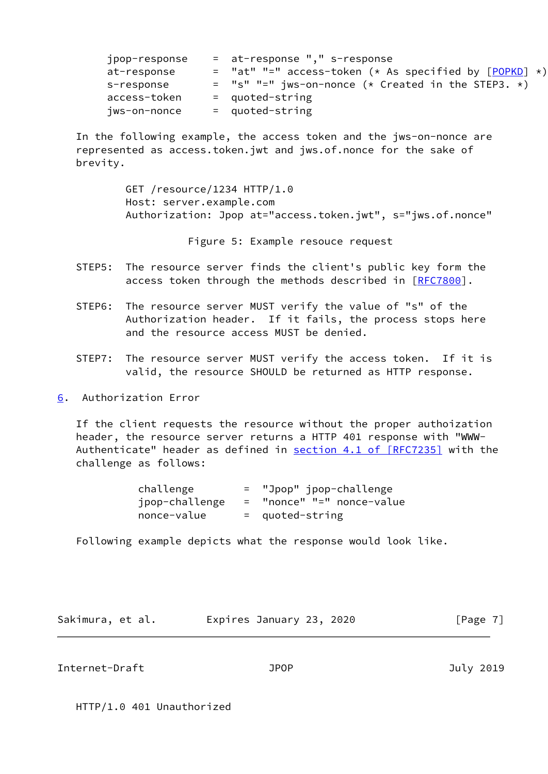| jpop-response | = at-response "," s-response                              |
|---------------|-----------------------------------------------------------|
| at-response   | $=$ "at" "=" access-token (* As specified by $[POPKD]$ *) |
| s-response    | $=$ "s" "=" jws-on-nonce (* Created in the STEP3. *)      |
| access-token  | $=$ quoted-string                                         |
| jws-on-nonce  | $=$ quoted-string                                         |

 In the following example, the access token and the jws-on-nonce are represented as access.token.jwt and jws.of.nonce for the sake of brevity.

> GET /resource/1234 HTTP/1.0 Host: server.example.com Authorization: Jpop at="access.token.jwt", s="jws.of.nonce"

> > Figure 5: Example resouce request

- STEP5: The resource server finds the client's public key form the access token through the methods described in [[RFC7800](https://datatracker.ietf.org/doc/pdf/rfc7800)].
- STEP6: The resource server MUST verify the value of "s" of the Authorization header. If it fails, the process stops here and the resource access MUST be denied.
- STEP7: The resource server MUST verify the access token. If it is valid, the resource SHOULD be returned as HTTP response.
- <span id="page-7-0"></span>[6](#page-7-0). Authorization Error

 If the client requests the resource without the proper authoization header, the resource server returns a HTTP 401 response with "WWW- Authenticate" header as defined in section [4.1 of \[RFC7235\]](https://datatracker.ietf.org/doc/pdf/rfc7235#section-4.1) with the challenge as follows:

| challenge      | = "Jpop" jpop-challenge   |
|----------------|---------------------------|
| jpop-challenge | = "nonce" "=" nonce-value |
| nonce-value    | $=$ quoted-string         |

Following example depicts what the response would look like.

| Sakimura, et al. | Expires January 23, 2020 | [Page 7] |
|------------------|--------------------------|----------|
|------------------|--------------------------|----------|

<span id="page-7-1"></span>Internet-Draft JPOP July 2019

HTTP/1.0 401 Unauthorized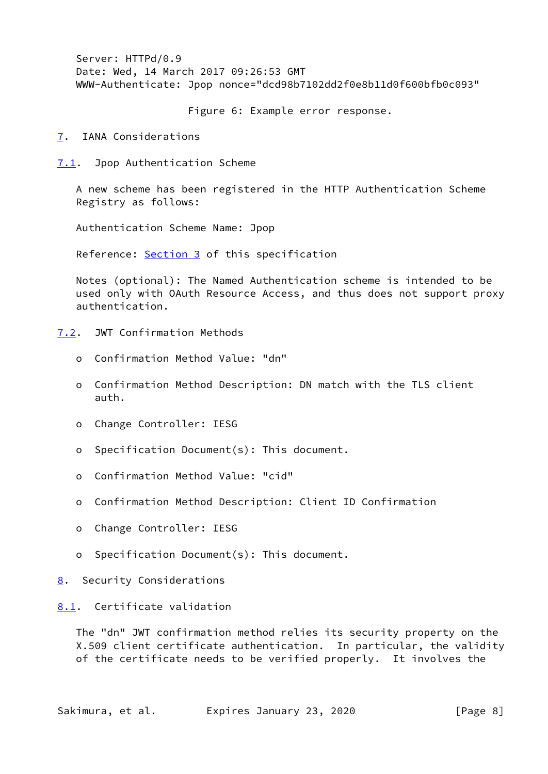Server: HTTPd/0.9 Date: Wed, 14 March 2017 09:26:53 GMT WWW-Authenticate: Jpop nonce="dcd98b7102dd2f0e8b11d0f600bfb0c093"

Figure 6: Example error response.

<span id="page-8-0"></span>[7](#page-8-0). IANA Considerations

<span id="page-8-1"></span>[7.1](#page-8-1). Jpop Authentication Scheme

 A new scheme has been registered in the HTTP Authentication Scheme Registry as follows:

Authentication Scheme Name: Jpop

Reference: [Section 3](#page-2-4) of this specification

 Notes (optional): The Named Authentication scheme is intended to be used only with OAuth Resource Access, and thus does not support proxy authentication.

<span id="page-8-2"></span>[7.2](#page-8-2). JWT Confirmation Methods

- o Confirmation Method Value: "dn"
- o Confirmation Method Description: DN match with the TLS client auth.
- o Change Controller: IESG
- o Specification Document(s): This document.
- o Confirmation Method Value: "cid"
- o Confirmation Method Description: Client ID Confirmation
- o Change Controller: IESG
- o Specification Document(s): This document.
- <span id="page-8-3"></span>[8](#page-8-3). Security Considerations

# <span id="page-8-4"></span>[8.1](#page-8-4). Certificate validation

 The "dn" JWT confirmation method relies its security property on the X.509 client certificate authentication. In particular, the validity of the certificate needs to be verified properly. It involves the

Sakimura, et al. Expires January 23, 2020 [Page 8]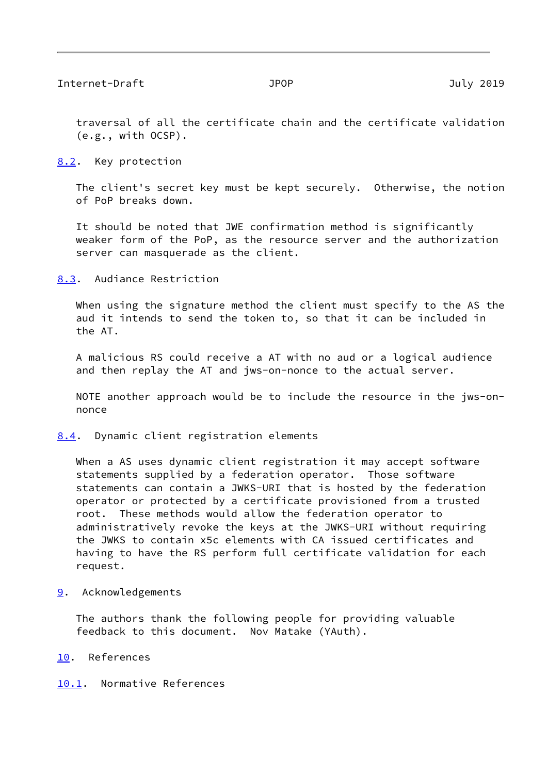<span id="page-9-1"></span> traversal of all the certificate chain and the certificate validation (e.g., with OCSP).

<span id="page-9-0"></span>[8.2](#page-9-0). Key protection

 The client's secret key must be kept securely. Otherwise, the notion of PoP breaks down.

 It should be noted that JWE confirmation method is significantly weaker form of the PoP, as the resource server and the authorization server can masquerade as the client.

<span id="page-9-2"></span>[8.3](#page-9-2). Audiance Restriction

When using the signature method the client must specify to the AS the aud it intends to send the token to, so that it can be included in the AT.

 A malicious RS could receive a AT with no aud or a logical audience and then replay the AT and jws-on-nonce to the actual server.

 NOTE another approach would be to include the resource in the jws-on nonce

<span id="page-9-3"></span>[8.4](#page-9-3). Dynamic client registration elements

 When a AS uses dynamic client registration it may accept software statements supplied by a federation operator. Those software statements can contain a JWKS-URI that is hosted by the federation operator or protected by a certificate provisioned from a trusted root. These methods would allow the federation operator to administratively revoke the keys at the JWKS-URI without requiring the JWKS to contain x5c elements with CA issued certificates and having to have the RS perform full certificate validation for each request.

<span id="page-9-4"></span>[9](#page-9-4). Acknowledgements

 The authors thank the following people for providing valuable feedback to this document. Nov Matake (YAuth).

## <span id="page-9-5"></span>[10.](#page-9-5) References

# <span id="page-9-6"></span>[10.1](#page-9-6). Normative References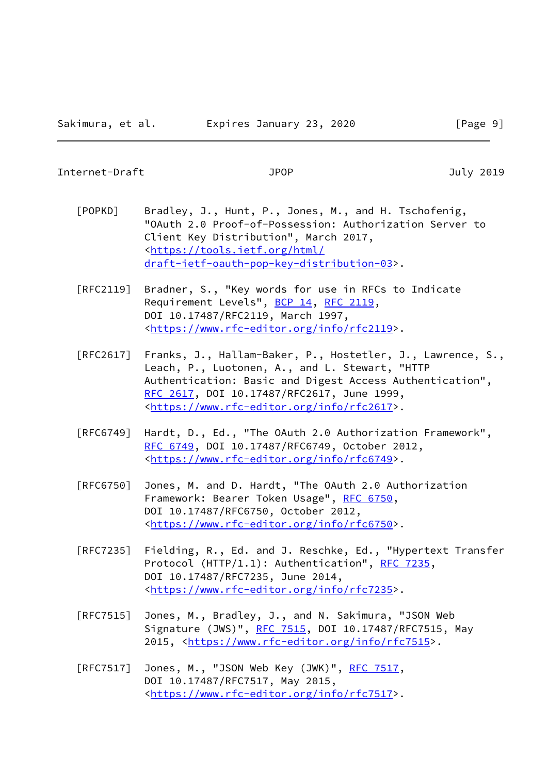## Internet-Draft JPOP July 2019

- [POPKD] Bradley, J., Hunt, P., Jones, M., and H. Tschofenig, "OAuth 2.0 Proof-of-Possession: Authorization Server to Client Key Distribution", March 2017, <[https://tools.ietf.org/html/](https://tools.ietf.org/html/draft-ietf-oauth-pop-key-distribution-03) [draft-ietf-oauth-pop-key-distribution-03>](https://tools.ietf.org/html/draft-ietf-oauth-pop-key-distribution-03).
- [RFC2119] Bradner, S., "Key words for use in RFCs to Indicate Requirement Levels", [BCP 14](https://datatracker.ietf.org/doc/pdf/bcp14), [RFC 2119](https://datatracker.ietf.org/doc/pdf/rfc2119), DOI 10.17487/RFC2119, March 1997, <[https://www.rfc-editor.org/info/rfc2119>](https://www.rfc-editor.org/info/rfc2119).
- [RFC2617] Franks, J., Hallam-Baker, P., Hostetler, J., Lawrence, S., Leach, P., Luotonen, A., and L. Stewart, "HTTP Authentication: Basic and Digest Access Authentication", [RFC 2617,](https://datatracker.ietf.org/doc/pdf/rfc2617) DOI 10.17487/RFC2617, June 1999, <[https://www.rfc-editor.org/info/rfc2617>](https://www.rfc-editor.org/info/rfc2617).
- [RFC6749] Hardt, D., Ed., "The OAuth 2.0 Authorization Framework", [RFC 6749,](https://datatracker.ietf.org/doc/pdf/rfc6749) DOI 10.17487/RFC6749, October 2012, <[https://www.rfc-editor.org/info/rfc6749>](https://www.rfc-editor.org/info/rfc6749).
- [RFC6750] Jones, M. and D. Hardt, "The OAuth 2.0 Authorization Framework: Bearer Token Usage", [RFC 6750,](https://datatracker.ietf.org/doc/pdf/rfc6750) DOI 10.17487/RFC6750, October 2012, <[https://www.rfc-editor.org/info/rfc6750>](https://www.rfc-editor.org/info/rfc6750).
- [RFC7235] Fielding, R., Ed. and J. Reschke, Ed., "Hypertext Transfer Protocol (HTTP/1.1): Authentication", [RFC 7235](https://datatracker.ietf.org/doc/pdf/rfc7235), DOI 10.17487/RFC7235, June 2014, <[https://www.rfc-editor.org/info/rfc7235>](https://www.rfc-editor.org/info/rfc7235).
- [RFC7515] Jones, M., Bradley, J., and N. Sakimura, "JSON Web Signature (JWS)", [RFC 7515](https://datatracker.ietf.org/doc/pdf/rfc7515), DOI 10.17487/RFC7515, May 2015, [<https://www.rfc-editor.org/info/rfc7515](https://www.rfc-editor.org/info/rfc7515)>.
- [RFC7517] Jones, M., "JSON Web Key (JWK)", [RFC 7517,](https://datatracker.ietf.org/doc/pdf/rfc7517) DOI 10.17487/RFC7517, May 2015, <[https://www.rfc-editor.org/info/rfc7517>](https://www.rfc-editor.org/info/rfc7517).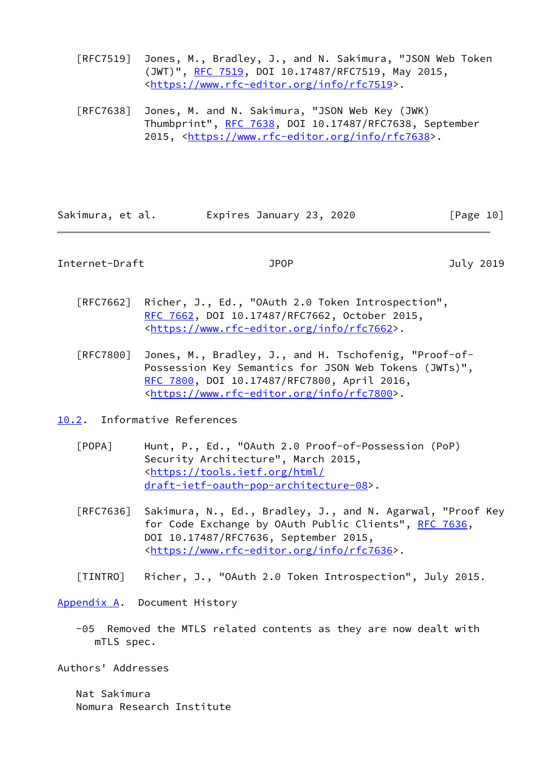- [RFC7519] Jones, M., Bradley, J., and N. Sakimura, "JSON Web Token (JWT)", [RFC 7519,](https://datatracker.ietf.org/doc/pdf/rfc7519) DOI 10.17487/RFC7519, May 2015, <[https://www.rfc-editor.org/info/rfc7519>](https://www.rfc-editor.org/info/rfc7519).
- [RFC7638] Jones, M. and N. Sakimura, "JSON Web Key (JWK) Thumbprint", [RFC 7638](https://datatracker.ietf.org/doc/pdf/rfc7638), DOI 10.17487/RFC7638, September 2015, [<https://www.rfc-editor.org/info/rfc7638](https://www.rfc-editor.org/info/rfc7638)>.

| Sakimura, et al. | Expires January 23, 2020 | [Page 10] |
|------------------|--------------------------|-----------|
|------------------|--------------------------|-----------|

<span id="page-11-1"></span>Internet-Draft JPOP July 2019

- [RFC7662] Richer, J., Ed., "OAuth 2.0 Token Introspection", [RFC 7662,](https://datatracker.ietf.org/doc/pdf/rfc7662) DOI 10.17487/RFC7662, October 2015, <[https://www.rfc-editor.org/info/rfc7662>](https://www.rfc-editor.org/info/rfc7662).
- [RFC7800] Jones, M., Bradley, J., and H. Tschofenig, "Proof-of- Possession Key Semantics for JSON Web Tokens (JWTs)", [RFC 7800,](https://datatracker.ietf.org/doc/pdf/rfc7800) DOI 10.17487/RFC7800, April 2016, <[https://www.rfc-editor.org/info/rfc7800>](https://www.rfc-editor.org/info/rfc7800).

<span id="page-11-0"></span>[10.2](#page-11-0). Informative References

- [POPA] Hunt, P., Ed., "OAuth 2.0 Proof-of-Possession (PoP) Security Architecture", March 2015, <[https://tools.ietf.org/html/](https://tools.ietf.org/html/draft-ietf-oauth-pop-architecture-08) [draft-ietf-oauth-pop-architecture-08>](https://tools.ietf.org/html/draft-ietf-oauth-pop-architecture-08).
- [RFC7636] Sakimura, N., Ed., Bradley, J., and N. Agarwal, "Proof Key for Code Exchange by OAuth Public Clients", [RFC 7636,](https://datatracker.ietf.org/doc/pdf/rfc7636) DOI 10.17487/RFC7636, September 2015, <[https://www.rfc-editor.org/info/rfc7636>](https://www.rfc-editor.org/info/rfc7636).

[TINTRO] Richer, J., "OAuth 2.0 Token Introspection", July 2015.

<span id="page-11-2"></span>[Appendix A.](#page-11-2) Document History

 -05 Removed the MTLS related contents as they are now dealt with mTLS spec.

Authors' Addresses

 Nat Sakimura Nomura Research Institute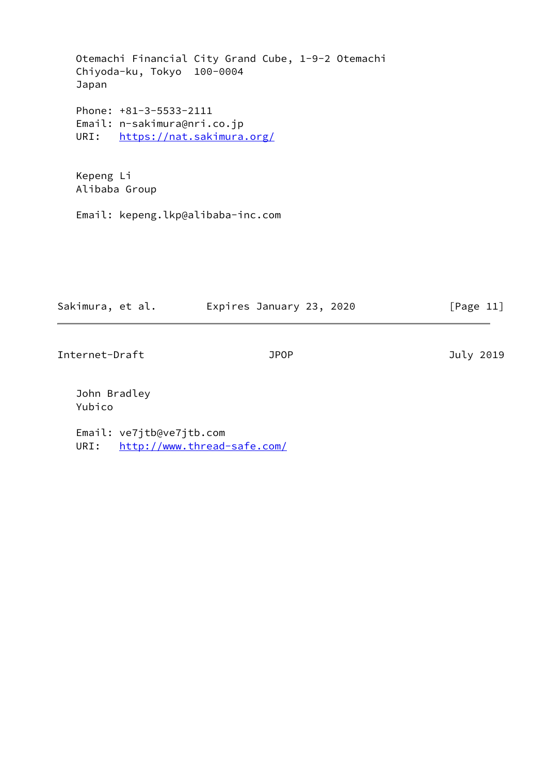Otemachi Financial City Grand Cube, 1-9-2 Otemachi Chiyoda-ku, Tokyo 100-0004 Japan Phone: +81-3-5533-2111 Email: n-sakimura@nri.co.jp URI: <https://nat.sakimura.org/>

 Kepeng Li Alibaba Group

Email: kepeng.lkp@alibaba-inc.com

| Sakimura, et al. | Expires January 23, 2020 | [Page 11] |
|------------------|--------------------------|-----------|
|                  |                          |           |

Internet-Draft JPOP July 2019

 John Bradley Yubico

 Email: ve7jtb@ve7jtb.com URI: <http://www.thread-safe.com/>